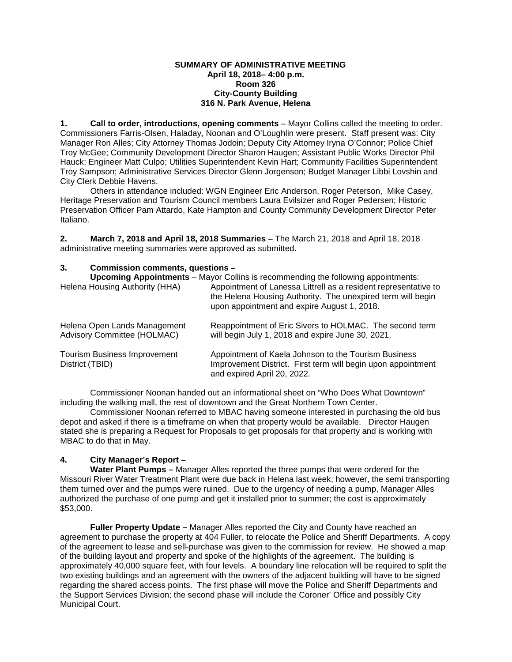#### **SUMMARY OF ADMINISTRATIVE MEETING April 18, 2018– 4:00 p.m. Room 326 City-County Building 316 N. Park Avenue, Helena**

**1. Call to order, introductions, opening comments** – Mayor Collins called the meeting to order. Commissioners Farris-Olsen, Haladay, Noonan and O'Loughlin were present. Staff present was: City Manager Ron Alles; City Attorney Thomas Jodoin; Deputy City Attorney Iryna O'Connor; Police Chief Troy McGee; Community Development Director Sharon Haugen; Assistant Public Works Director Phil Hauck; Engineer Matt Culpo; Utilities Superintendent Kevin Hart; Community Facilities Superintendent Troy Sampson; Administrative Services Director Glenn Jorgenson; Budget Manager Libbi Lovshin and City Clerk Debbie Havens.

Others in attendance included: WGN Engineer Eric Anderson, Roger Peterson, Mike Casey, Heritage Preservation and Tourism Council members Laura Evilsizer and Roger Pedersen; Historic Preservation Officer Pam Attardo, Kate Hampton and County Community Development Director Peter Italiano.

**2. March 7, 2018 and April 18, 2018 Summaries** – The March 21, 2018 and April 18, 2018 administrative meeting summaries were approved as submitted.

# **3. Commission comments, questions –**

| Helena Housing Authority (HHA)                                     | <b>Upcoming Appointments</b> – Mayor Collins is recommending the following appointments:<br>Appointment of Lanessa Littrell as a resident representative to<br>the Helena Housing Authority. The unexpired term will begin<br>upon appointment and expire August 1, 2018. |
|--------------------------------------------------------------------|---------------------------------------------------------------------------------------------------------------------------------------------------------------------------------------------------------------------------------------------------------------------------|
| Helena Open Lands Management<br><b>Advisory Committee (HOLMAC)</b> | Reappointment of Eric Sivers to HOLMAC. The second term<br>will begin July 1, 2018 and expire June 30, 2021.                                                                                                                                                              |
| <b>Tourism Business Improvement</b><br>District (TBID)             | Appointment of Kaela Johnson to the Tourism Business<br>Improvement District. First term will begin upon appointment<br>and expired April 20, 2022.                                                                                                                       |

Commissioner Noonan handed out an informational sheet on "Who Does What Downtown" including the walking mall, the rest of downtown and the Great Northern Town Center.

Commissioner Noonan referred to MBAC having someone interested in purchasing the old bus depot and asked if there is a timeframe on when that property would be available. Director Haugen stated she is preparing a Request for Proposals to get proposals for that property and is working with MBAC to do that in May.

# **4. City Manager's Report –**

**Water Plant Pumps –** Manager Alles reported the three pumps that were ordered for the Missouri River Water Treatment Plant were due back in Helena last week; however, the semi transporting them turned over and the pumps were ruined. Due to the urgency of needing a pump, Manager Alles authorized the purchase of one pump and get it installed prior to summer; the cost is approximately \$53,000.

**Fuller Property Update –** Manager Alles reported the City and County have reached an agreement to purchase the property at 404 Fuller, to relocate the Police and Sheriff Departments. A copy of the agreement to lease and sell-purchase was given to the commission for review. He showed a map of the building layout and property and spoke of the highlights of the agreement. The building is approximately 40,000 square feet, with four levels. A boundary line relocation will be required to split the two existing buildings and an agreement with the owners of the adjacent building will have to be signed regarding the shared access points. The first phase will move the Police and Sheriff Departments and the Support Services Division; the second phase will include the Coroner' Office and possibly City Municipal Court.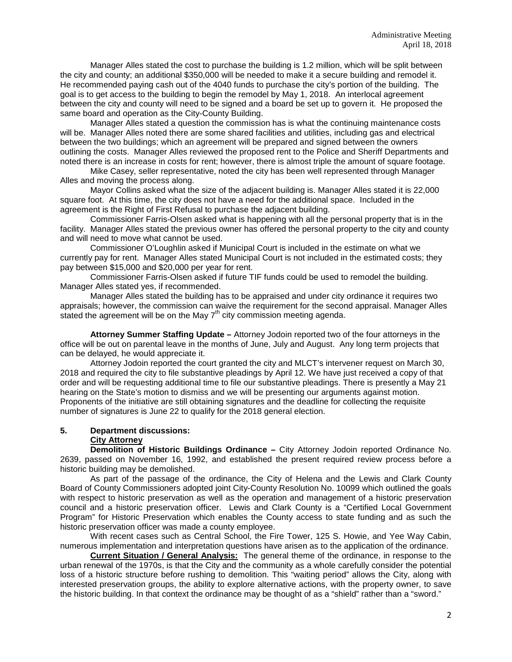Manager Alles stated the cost to purchase the building is 1.2 million, which will be split between the city and county; an additional \$350,000 will be needed to make it a secure building and remodel it. He recommended paying cash out of the 4040 funds to purchase the city's portion of the building. The goal is to get access to the building to begin the remodel by May 1, 2018. An interlocal agreement between the city and county will need to be signed and a board be set up to govern it. He proposed the same board and operation as the City-County Building.

Manager Alles stated a question the commission has is what the continuing maintenance costs will be. Manager Alles noted there are some shared facilities and utilities, including gas and electrical between the two buildings; which an agreement will be prepared and signed between the owners outlining the costs. Manager Alles reviewed the proposed rent to the Police and Sheriff Departments and noted there is an increase in costs for rent; however, there is almost triple the amount of square footage.

Mike Casey, seller representative, noted the city has been well represented through Manager Alles and moving the process along.

Mayor Collins asked what the size of the adjacent building is. Manager Alles stated it is 22,000 square foot. At this time, the city does not have a need for the additional space. Included in the agreement is the Right of First Refusal to purchase the adjacent building.

Commissioner Farris-Olsen asked what is happening with all the personal property that is in the facility. Manager Alles stated the previous owner has offered the personal property to the city and county and will need to move what cannot be used.

Commissioner O'Loughlin asked if Municipal Court is included in the estimate on what we currently pay for rent. Manager Alles stated Municipal Court is not included in the estimated costs; they pay between \$15,000 and \$20,000 per year for rent.

Commissioner Farris-Olsen asked if future TIF funds could be used to remodel the building. Manager Alles stated yes, if recommended.

Manager Alles stated the building has to be appraised and under city ordinance it requires two appraisals; however, the commission can waive the requirement for the second appraisal. Manager Alles stated the agreement will be on the May  $7<sup>th</sup>$  city commission meeting agenda.

**Attorney Summer Staffing Update –** Attorney Jodoin reported two of the four attorneys in the office will be out on parental leave in the months of June, July and August. Any long term projects that can be delayed, he would appreciate it.

Attorney Jodoin reported the court granted the city and MLCT's intervener request on March 30, 2018 and required the city to file substantive pleadings by April 12. We have just received a copy of that order and will be requesting additional time to file our substantive pleadings. There is presently a May 21 hearing on the State's motion to dismiss and we will be presenting our arguments against motion. Proponents of the initiative are still obtaining signatures and the deadline for collecting the requisite number of signatures is June 22 to qualify for the 2018 general election.

# **5. Department discussions:**

#### **City Attorney**

**Demolition of Historic Buildings Ordinance –** City Attorney Jodoin reported Ordinance No. 2639, passed on November 16, 1992, and established the present required review process before a historic building may be demolished.

As part of the passage of the ordinance, the City of Helena and the Lewis and Clark County Board of County Commissioners adopted joint City-County Resolution No. 10099 which outlined the goals with respect to historic preservation as well as the operation and management of a historic preservation council and a historic preservation officer. Lewis and Clark County is a "Certified Local Government Program" for Historic Preservation which enables the County access to state funding and as such the historic preservation officer was made a county employee.

With recent cases such as Central School, the Fire Tower, 125 S. Howie, and Yee Way Cabin, numerous implementation and interpretation questions have arisen as to the application of the ordinance.

**Current Situation / General Analysis:** The general theme of the ordinance, in response to the urban renewal of the 1970s, is that the City and the community as a whole carefully consider the potential loss of a historic structure before rushing to demolition. This "waiting period" allows the City, along with interested preservation groups, the ability to explore alternative actions, with the property owner, to save the historic building. In that context the ordinance may be thought of as a "shield" rather than a "sword."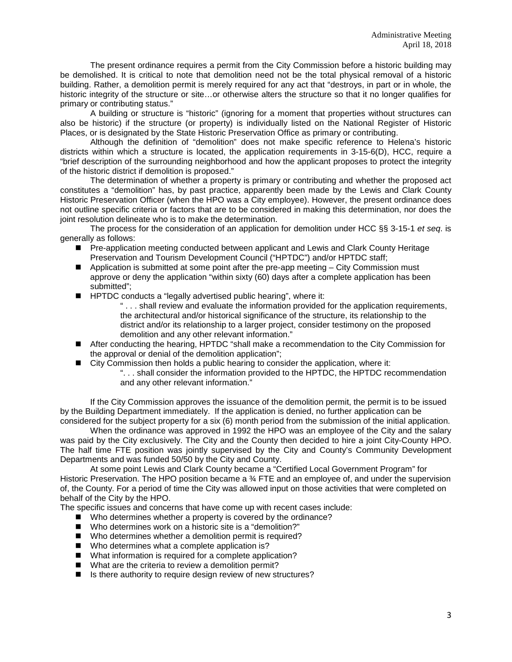The present ordinance requires a permit from the City Commission before a historic building may be demolished. It is critical to note that demolition need not be the total physical removal of a historic building. Rather, a demolition permit is merely required for any act that "destroys, in part or in whole, the historic integrity of the structure or site...or otherwise alters the structure so that it no longer qualifies for primary or contributing status."

A building or structure is "historic" (ignoring for a moment that properties without structures can also be historic) if the structure (or property) is individually listed on the National Register of Historic Places, or is designated by the State Historic Preservation Office as primary or contributing.

Although the definition of "demolition" does not make specific reference to Helena's historic districts within which a structure is located, the application requirements in 3-15-6(D), HCC, require a "brief description of the surrounding neighborhood and how the applicant proposes to protect the integrity of the historic district if demolition is proposed."

The determination of whether a property is primary or contributing and whether the proposed act constitutes a "demolition" has, by past practice, apparently been made by the Lewis and Clark County Historic Preservation Officer (when the HPO was a City employee). However, the present ordinance does not outline specific criteria or factors that are to be considered in making this determination, nor does the joint resolution delineate who is to make the determination.

The process for the consideration of an application for demolition under HCC §§ 3-15-1 *et seq*. is generally as follows:

- Pre-application meeting conducted between applicant and Lewis and Clark County Heritage Preservation and Tourism Development Council ("HPTDC") and/or HPTDC staff;
- $\blacksquare$  Application is submitted at some point after the pre-app meeting  $-$  City Commission must approve or deny the application "within sixty (60) days after a complete application has been submitted";
- **HPTDC** conducts a "legally advertised public hearing", where it:
	- " . . . shall review and evaluate the information provided for the application requirements, the architectural and/or historical significance of the structure, its relationship to the district and/or its relationship to a larger project, consider testimony on the proposed demolition and any other relevant information."
- After conducting the hearing, HPTDC "shall make a recommendation to the City Commission for the approval or denial of the demolition application";
- City Commission then holds a public hearing to consider the application, where it:
	- ". . . shall consider the information provided to the HPTDC, the HPTDC recommendation and any other relevant information."

If the City Commission approves the issuance of the demolition permit, the permit is to be issued by the Building Department immediately. If the application is denied, no further application can be considered for the subject property for a six (6) month period from the submission of the initial application.

When the ordinance was approved in 1992 the HPO was an employee of the City and the salary was paid by the City exclusively. The City and the County then decided to hire a joint City-County HPO. The half time FTE position was jointly supervised by the City and County's Community Development Departments and was funded 50/50 by the City and County.

At some point Lewis and Clark County became a "Certified Local Government Program" for Historic Preservation. The HPO position became a  $\frac{3}{4}$  FTE and an employee of, and under the supervision of, the County. For a period of time the City was allowed input on those activities that were completed on behalf of the City by the HPO.

The specific issues and concerns that have come up with recent cases include:

- Who determines whether a property is covered by the ordinance?
- Who determines work on a historic site is a "demolition?"
- Who determines whether a demolition permit is required?
- Who determines what a complete application is?
- What information is required for a complete application?
- What are the criteria to review a demolition permit?
- Is there authority to require design review of new structures?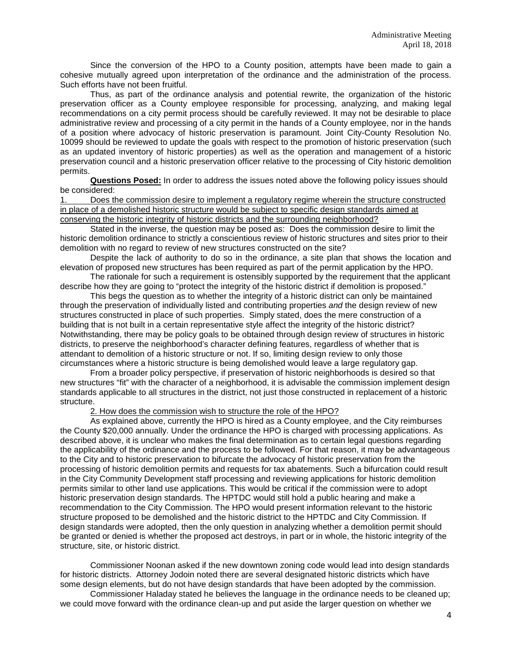Since the conversion of the HPO to a County position, attempts have been made to gain a cohesive mutually agreed upon interpretation of the ordinance and the administration of the process. Such efforts have not been fruitful.

Thus, as part of the ordinance analysis and potential rewrite, the organization of the historic preservation officer as a County employee responsible for processing, analyzing, and making legal recommendations on a city permit process should be carefully reviewed. It may not be desirable to place administrative review and processing of a city permit in the hands of a County employee, nor in the hands of a position where advocacy of historic preservation is paramount. Joint City-County Resolution No. 10099 should be reviewed to update the goals with respect to the promotion of historic preservation (such as an updated inventory of historic properties) as well as the operation and management of a historic preservation council and a historic preservation officer relative to the processing of City historic demolition permits.

**Questions Posed:** In order to address the issues noted above the following policy issues should be considered:

1. Does the commission desire to implement a regulatory regime wherein the structure constructed in place of a demolished historic structure would be subject to specific design standards aimed at conserving the historic integrity of historic districts and the surrounding neighborhood?

Stated in the inverse, the question may be posed as: Does the commission desire to limit the historic demolition ordinance to strictly a conscientious review of historic structures and sites prior to their demolition with no regard to review of new structures constructed on the site?

Despite the lack of authority to do so in the ordinance, a site plan that shows the location and elevation of proposed new structures has been required as part of the permit application by the HPO.

The rationale for such a requirement is ostensibly supported by the requirement that the applicant describe how they are going to "protect the integrity of the historic district if demolition is proposed."

This begs the question as to whether the integrity of a historic district can only be maintained through the preservation of individually listed and contributing properties *and* the design review of new structures constructed in place of such properties. Simply stated, does the mere construction of a building that is not built in a certain representative style affect the integrity of the historic district? Notwithstanding, there may be policy goals to be obtained through design review of structures in historic districts, to preserve the neighborhood's character defining features, regardless of whether that is attendant to demolition of a historic structure or not. If so, limiting design review to only those circumstances where a historic structure is being demolished would leave a large regulatory gap.

From a broader policy perspective, if preservation of historic neighborhoods is desired so that new structures "fit" with the character of a neighborhood, it is advisable the commission implement design standards applicable to all structures in the district, not just those constructed in replacement of a historic structure.

2. How does the commission wish to structure the role of the HPO?

As explained above, currently the HPO is hired as a County employee, and the City reimburses the County \$20,000 annually. Under the ordinance the HPO is charged with processing applications. As described above, it is unclear who makes the final determination as to certain legal questions regarding the applicability of the ordinance and the process to be followed. For that reason, it may be advantageous to the City and to historic preservation to bifurcate the advocacy of historic preservation from the processing of historic demolition permits and requests for tax abatements. Such a bifurcation could result in the City Community Development staff processing and reviewing applications for historic demolition permits similar to other land use applications. This would be critical if the commission were to adopt historic preservation design standards. The HPTDC would still hold a public hearing and make a recommendation to the City Commission. The HPO would present information relevant to the historic structure proposed to be demolished and the historic district to the HPTDC and City Commission. If design standards were adopted, then the only question in analyzing whether a demolition permit should be granted or denied is whether the proposed act destroys, in part or in whole, the historic integrity of the structure, site, or historic district.

Commissioner Noonan asked if the new downtown zoning code would lead into design standards for historic districts. Attorney Jodoin noted there are several designated historic districts which have some design elements, but do not have design standards that have been adopted by the commission.

Commissioner Haladay stated he believes the language in the ordinance needs to be cleaned up; we could move forward with the ordinance clean-up and put aside the larger question on whether we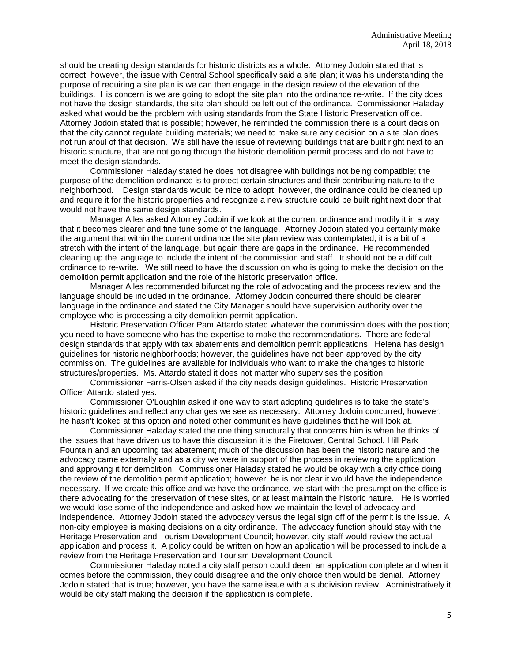should be creating design standards for historic districts as a whole. Attorney Jodoin stated that is correct; however, the issue with Central School specifically said a site plan; it was his understanding the purpose of requiring a site plan is we can then engage in the design review of the elevation of the buildings. His concern is we are going to adopt the site plan into the ordinance re-write. If the city does not have the design standards, the site plan should be left out of the ordinance. Commissioner Haladay asked what would be the problem with using standards from the State Historic Preservation office. Attorney Jodoin stated that is possible; however, he reminded the commission there is a court decision that the city cannot regulate building materials; we need to make sure any decision on a site plan does not run afoul of that decision. We still have the issue of reviewing buildings that are built right next to an historic structure, that are not going through the historic demolition permit process and do not have to meet the design standards.

Commissioner Haladay stated he does not disagree with buildings not being compatible; the purpose of the demolition ordinance is to protect certain structures and their contributing nature to the neighborhood. Design standards would be nice to adopt; however, the ordinance could be cleaned up and require it for the historic properties and recognize a new structure could be built right next door that would not have the same design standards.

Manager Alles asked Attorney Jodoin if we look at the current ordinance and modify it in a way that it becomes clearer and fine tune some of the language. Attorney Jodoin stated you certainly make the argument that within the current ordinance the site plan review was contemplated; it is a bit of a stretch with the intent of the language, but again there are gaps in the ordinance. He recommended cleaning up the language to include the intent of the commission and staff. It should not be a difficult ordinance to re-write. We still need to have the discussion on who is going to make the decision on the demolition permit application and the role of the historic preservation office.

Manager Alles recommended bifurcating the role of advocating and the process review and the language should be included in the ordinance. Attorney Jodoin concurred there should be clearer language in the ordinance and stated the City Manager should have supervision authority over the employee who is processing a city demolition permit application.

Historic Preservation Officer Pam Attardo stated whatever the commission does with the position; you need to have someone who has the expertise to make the recommendations. There are federal design standards that apply with tax abatements and demolition permit applications. Helena has design guidelines for historic neighborhoods; however, the guidelines have not been approved by the city commission. The guidelines are available for individuals who want to make the changes to historic structures/properties. Ms. Attardo stated it does not matter who supervises the position.

Commissioner Farris-Olsen asked if the city needs design guidelines. Historic Preservation Officer Attardo stated yes.

Commissioner O'Loughlin asked if one way to start adopting guidelines is to take the state's historic guidelines and reflect any changes we see as necessary. Attorney Jodoin concurred; however, he hasn't looked at this option and noted other communities have guidelines that he will look at.

Commissioner Haladay stated the one thing structurally that concerns him is when he thinks of the issues that have driven us to have this discussion it is the Firetower, Central School, Hill Park Fountain and an upcoming tax abatement; much of the discussion has been the historic nature and the advocacy came externally and as a city we were in support of the process in reviewing the application and approving it for demolition. Commissioner Haladay stated he would be okay with a city office doing the review of the demolition permit application; however, he is not clear it would have the independence necessary. If we create this office and we have the ordinance, we start with the presumption the office is there advocating for the preservation of these sites, or at least maintain the historic nature. He is worried we would lose some of the independence and asked how we maintain the level of advocacy and independence. Attorney Jodoin stated the advocacy versus the legal sign off of the permit is the issue. A non-city employee is making decisions on a city ordinance. The advocacy function should stay with the Heritage Preservation and Tourism Development Council; however, city staff would review the actual application and process it. A policy could be written on how an application will be processed to include a review from the Heritage Preservation and Tourism Development Council.

Commissioner Haladay noted a city staff person could deem an application complete and when it comes before the commission, they could disagree and the only choice then would be denial. Attorney Jodoin stated that is true; however, you have the same issue with a subdivision review. Administratively it would be city staff making the decision if the application is complete.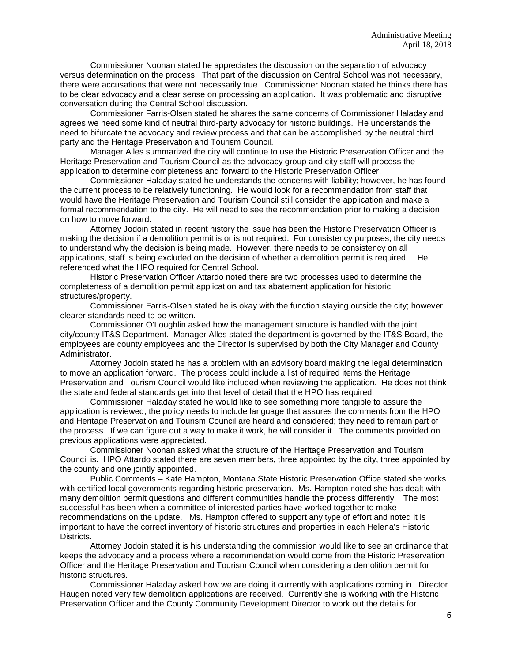Commissioner Noonan stated he appreciates the discussion on the separation of advocacy versus determination on the process. That part of the discussion on Central School was not necessary, there were accusations that were not necessarily true. Commissioner Noonan stated he thinks there has to be clear advocacy and a clear sense on processing an application. It was problematic and disruptive conversation during the Central School discussion.

Commissioner Farris-Olsen stated he shares the same concerns of Commissioner Haladay and agrees we need some kind of neutral third-party advocacy for historic buildings. He understands the need to bifurcate the advocacy and review process and that can be accomplished by the neutral third party and the Heritage Preservation and Tourism Council.

Manager Alles summarized the city will continue to use the Historic Preservation Officer and the Heritage Preservation and Tourism Council as the advocacy group and city staff will process the application to determine completeness and forward to the Historic Preservation Officer.

Commissioner Haladay stated he understands the concerns with liability; however, he has found the current process to be relatively functioning. He would look for a recommendation from staff that would have the Heritage Preservation and Tourism Council still consider the application and make a formal recommendation to the city. He will need to see the recommendation prior to making a decision on how to move forward.

Attorney Jodoin stated in recent history the issue has been the Historic Preservation Officer is making the decision if a demolition permit is or is not required. For consistency purposes, the city needs to understand why the decision is being made. However, there needs to be consistency on all applications, staff is being excluded on the decision of whether a demolition permit is required. He referenced what the HPO required for Central School.

Historic Preservation Officer Attardo noted there are two processes used to determine the completeness of a demolition permit application and tax abatement application for historic structures/property.

Commissioner Farris-Olsen stated he is okay with the function staying outside the city; however, clearer standards need to be written.

Commissioner O'Loughlin asked how the management structure is handled with the joint city/county IT&S Department. Manager Alles stated the department is governed by the IT&S Board, the employees are county employees and the Director is supervised by both the City Manager and County Administrator.

Attorney Jodoin stated he has a problem with an advisory board making the legal determination to move an application forward. The process could include a list of required items the Heritage Preservation and Tourism Council would like included when reviewing the application. He does not think the state and federal standards get into that level of detail that the HPO has required.

Commissioner Haladay stated he would like to see something more tangible to assure the application is reviewed; the policy needs to include language that assures the comments from the HPO and Heritage Preservation and Tourism Council are heard and considered; they need to remain part of the process. If we can figure out a way to make it work, he will consider it. The comments provided on previous applications were appreciated.

Commissioner Noonan asked what the structure of the Heritage Preservation and Tourism Council is. HPO Attardo stated there are seven members, three appointed by the city, three appointed by the county and one jointly appointed.

Public Comments – Kate Hampton, Montana State Historic Preservation Office stated she works with certified local governments regarding historic preservation. Ms. Hampton noted she has dealt with many demolition permit questions and different communities handle the process differently. The most successful has been when a committee of interested parties have worked together to make recommendations on the update. Ms. Hampton offered to support any type of effort and noted it is important to have the correct inventory of historic structures and properties in each Helena's Historic Districts.

Attorney Jodoin stated it is his understanding the commission would like to see an ordinance that keeps the advocacy and a process where a recommendation would come from the Historic Preservation Officer and the Heritage Preservation and Tourism Council when considering a demolition permit for historic structures.

Commissioner Haladay asked how we are doing it currently with applications coming in. Director Haugen noted very few demolition applications are received. Currently she is working with the Historic Preservation Officer and the County Community Development Director to work out the details for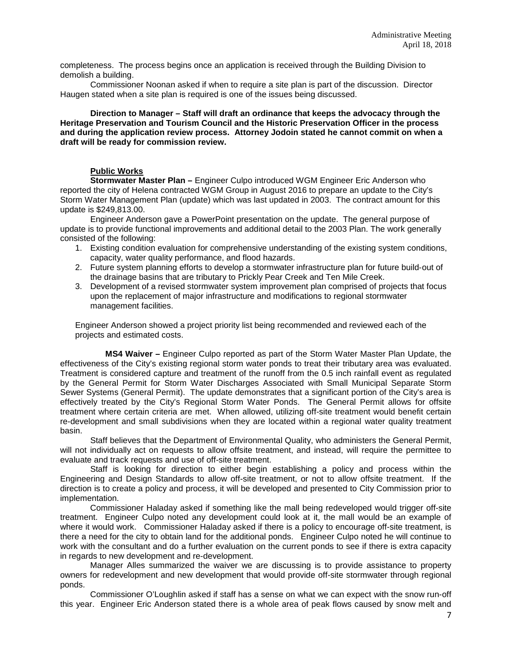completeness. The process begins once an application is received through the Building Division to demolish a building.

 Commissioner Noonan asked if when to require a site plan is part of the discussion. Director Haugen stated when a site plan is required is one of the issues being discussed.

#### **Direction to Manager – Staff will draft an ordinance that keeps the advocacy through the Heritage Preservation and Tourism Council and the Historic Preservation Officer in the process and during the application review process. Attorney Jodoin stated he cannot commit on when a draft will be ready for commission review.**

# **Public Works**

**Stormwater Master Plan –** Engineer Culpo introduced WGM Engineer Eric Anderson who reported the city of Helena contracted WGM Group in August 2016 to prepare an update to the City's Storm Water Management Plan (update) which was last updated in 2003. The contract amount for this update is \$249,813.00.

Engineer Anderson gave a PowerPoint presentation on the update. The general purpose of update is to provide functional improvements and additional detail to the 2003 Plan. The work generally consisted of the following:

- 1. Existing condition evaluation for comprehensive understanding of the existing system conditions, capacity, water quality performance, and flood hazards.
- 2. Future system planning efforts to develop a stormwater infrastructure plan for future build‐out of the drainage basins that are tributary to Prickly Pear Creek and Ten Mile Creek.
- 3. Development of a revised stormwater system improvement plan comprised of projects that focus upon the replacement of major infrastructure and modifications to regional stormwater management facilities.

Engineer Anderson showed a project priority list being recommended and reviewed each of the projects and estimated costs.

**MS4 Waiver –** Engineer Culpo reported as part of the Storm Water Master Plan Update, the effectiveness of the City's existing regional storm water ponds to treat their tributary area was evaluated. Treatment is considered capture and treatment of the runoff from the 0.5 inch rainfall event as regulated by the General Permit for Storm Water Discharges Associated with Small Municipal Separate Storm Sewer Systems (General Permit). The update demonstrates that a significant portion of the City's area is effectively treated by the City's Regional Storm Water Ponds. The General Permit allows for offsite treatment where certain criteria are met. When allowed, utilizing off-site treatment would benefit certain re-development and small subdivisions when they are located within a regional water quality treatment basin.

Staff believes that the Department of Environmental Quality, who administers the General Permit, will not individually act on requests to allow offsite treatment, and instead, will require the permittee to evaluate and track requests and use of off-site treatment.

Staff is looking for direction to either begin establishing a policy and process within the Engineering and Design Standards to allow off-site treatment, or not to allow offsite treatment. If the direction is to create a policy and process, it will be developed and presented to City Commission prior to implementation.

Commissioner Haladay asked if something like the mall being redeveloped would trigger off-site treatment. Engineer Culpo noted any development could look at it, the mall would be an example of where it would work. Commissioner Haladay asked if there is a policy to encourage off-site treatment, is there a need for the city to obtain land for the additional ponds. Engineer Culpo noted he will continue to work with the consultant and do a further evaluation on the current ponds to see if there is extra capacity in regards to new development and re-development.

Manager Alles summarized the waiver we are discussing is to provide assistance to property owners for redevelopment and new development that would provide off-site stormwater through regional ponds.

Commissioner O'Loughlin asked if staff has a sense on what we can expect with the snow run-off this year. Engineer Eric Anderson stated there is a whole area of peak flows caused by snow melt and